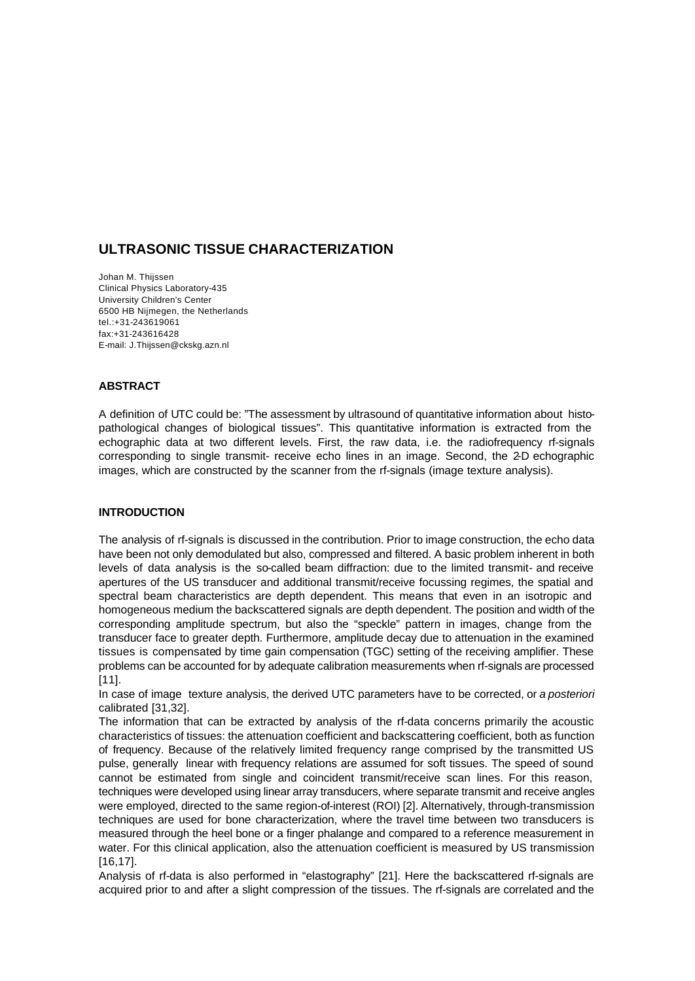# **ULTRASONIC TISSUE CHARACTERIZATION**

Johan M. Thijssen Clinical Physics Laboratory-435 University Children's Center 6500 HB Nijmegen, the Netherlands tel.:+31-243619061 fax:+31-243616428 E-mail: J.Thijssen@ckskg.azn.nl

## **ABSTRACT**

A definition of UTC could be: "The assessment by ultrasound of quantitative information about histopathological changes of biological tissues". This quantitative information is extracted from the echographic data at two different levels. First, the raw data, i.e. the radiofrequency rf-signals corresponding to single transmit- receive echo lines in an image. Second, the 2-D echographic images, which are constructed by the scanner from the rf-signals (image texture analysis).

## **INTRODUCTION**

The analysis of rf-signals is discussed in the contribution. Prior to image construction, the echo data have been not only demodulated but also, compressed and filtered. A basic problem inherent in both levels of data analysis is the so-called beam diffraction: due to the limited transmit- and receive apertures of the US transducer and additional transmit/receive focussing regimes, the spatial and spectral beam characteristics are depth dependent. This means that even in an isotropic and homogeneous medium the backscattered signals are depth dependent. The position and width of the corresponding amplitude spectrum, but also the "speckle" pattern in images, change from the transducer face to greater depth. Furthermore, amplitude decay due to attenuation in the examined tissues is compensated by time gain compensation (TGC) setting of the receiving amplifier. These problems can be accounted for by adequate calibration measurements when rf-signals are processed [11].

In case of image texture analysis, the derived UTC parameters have to be corrected, or *a posteriori* calibrated [31,32].

The information that can be extracted by analysis of the rf-data concerns primarily the acoustic characteristics of tissues: the attenuation coefficient and backscattering coefficient, both as function of frequency. Because of the relatively limited frequency range comprised by the transmitted US pulse, generally linear with frequency relations are assumed for soft tissues. The speed of sound cannot be estimated from single and coincident transmit/receive scan lines. For this reason, techniques were developed using linear array transducers, where separate transmit and receive angles were employed, directed to the same region-of-interest (ROI) [2]. Alternatively, through-transmission techniques are used for bone characterization, where the travel time between two transducers is measured through the heel bone or a finger phalange and compared to a reference measurement in water. For this clinical application, also the attenuation coefficient is measured by US transmission [16,17].

Analysis of rf-data is also performed in "elastography" [21]. Here the backscattered rf-signals are acquired prior to and after a slight compression of the tissues. The rf-signals are correlated and the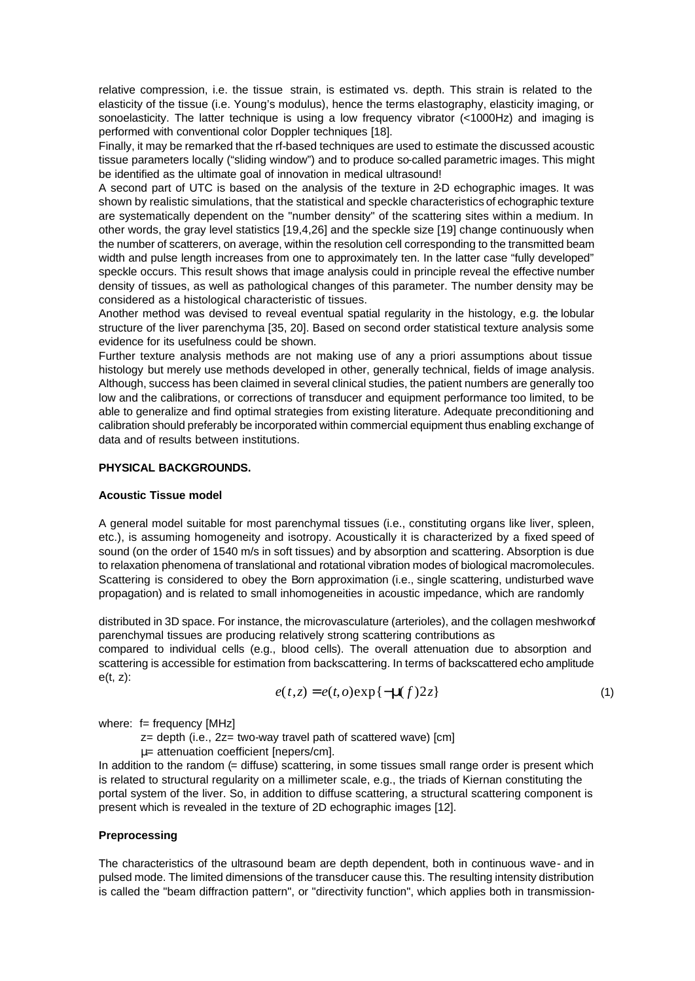relative compression, i.e. the tissue strain, is estimated vs. depth. This strain is related to the elasticity of the tissue (i.e. Young's modulus), hence the terms elastography, elasticity imaging, or sonoelasticity. The latter technique is using a low frequency vibrator (<1000Hz) and imaging is performed with conventional color Doppler techniques [18].

Finally, it may be remarked that the rf-based techniques are used to estimate the discussed acoustic tissue parameters locally ("sliding window") and to produce so-called parametric images. This might be identified as the ultimate goal of innovation in medical ultrasound!

A second part of UTC is based on the analysis of the texture in 2-D echographic images. It was shown by realistic simulations, that the statistical and speckle characteristics of echographic texture are systematically dependent on the "number density" of the scattering sites within a medium. In other words, the gray level statistics [19,4,26] and the speckle size [19] change continuously when the number of scatterers, on average, within the resolution cell corresponding to the transmitted beam width and pulse length increases from one to approximately ten. In the latter case "fully developed" speckle occurs. This result shows that image analysis could in principle reveal the effective number density of tissues, as well as pathological changes of this parameter. The number density may be considered as a histological characteristic of tissues.

Another method was devised to reveal eventual spatial regularity in the histology, e.g. the lobular structure of the liver parenchyma [35, 20]. Based on second order statistical texture analysis some evidence for its usefulness could be shown.

Further texture analysis methods are not making use of any a priori assumptions about tissue histology but merely use methods developed in other, generally technical, fields of image analysis. Although, success has been claimed in several clinical studies, the patient numbers are generally too low and the calibrations, or corrections of transducer and equipment performance too limited, to be able to generalize and find optimal strategies from existing literature. Adequate preconditioning and calibration should preferably be incorporated within commercial equipment thus enabling exchange of data and of results between institutions.

### **PHYSICAL BACKGROUNDS.**

#### **Acoustic Tissue model**

A general model suitable for most parenchymal tissues (i.e., constituting organs like liver, spleen, etc.), is assuming homogeneity and isotropy. Acoustically it is characterized by a fixed speed of sound (on the order of 1540 m/s in soft tissues) and by absorption and scattering. Absorption is due to relaxation phenomena of translational and rotational vibration modes of biological macromolecules. Scattering is considered to obey the Born approximation (i.e., single scattering, undisturbed wave propagation) and is related to small inhomogeneities in acoustic impedance, which are randomly

distributed in 3D space. For instance, the microvasculature (arterioles), and the collagen meshwork of parenchymal tissues are producing relatively strong scattering contributions as compared to individual cells (e.g., blood cells). The overall attenuation due to absorption and scattering is accessible for estimation from backscattering. In terms of backscattered echo amplitude  $e(t, z)$ :

$$
e(t, z) = e(t, o) \exp\{-\mathbf{n}(f) 2z\}
$$
 (1)

where:  $f = frequency [MHz]$ 

z= depth (i.e., 2z= two-way travel path of scattered wave) [cm] μ= attenuation coefficient [nepers/cm].

In addition to the random (= diffuse) scattering, in some tissues small range order is present which is related to structural regularity on a millimeter scale, e.g., the triads of Kiernan constituting the portal system of the liver. So, in addition to diffuse scattering, a structural scattering component is present which is revealed in the texture of 2D echographic images [12].

## **Preprocessing**

The characteristics of the ultrasound beam are depth dependent, both in continuous wave- and in pulsed mode. The limited dimensions of the transducer cause this. The resulting intensity distribution is called the "beam diffraction pattern", or "directivity function", which applies both in transmission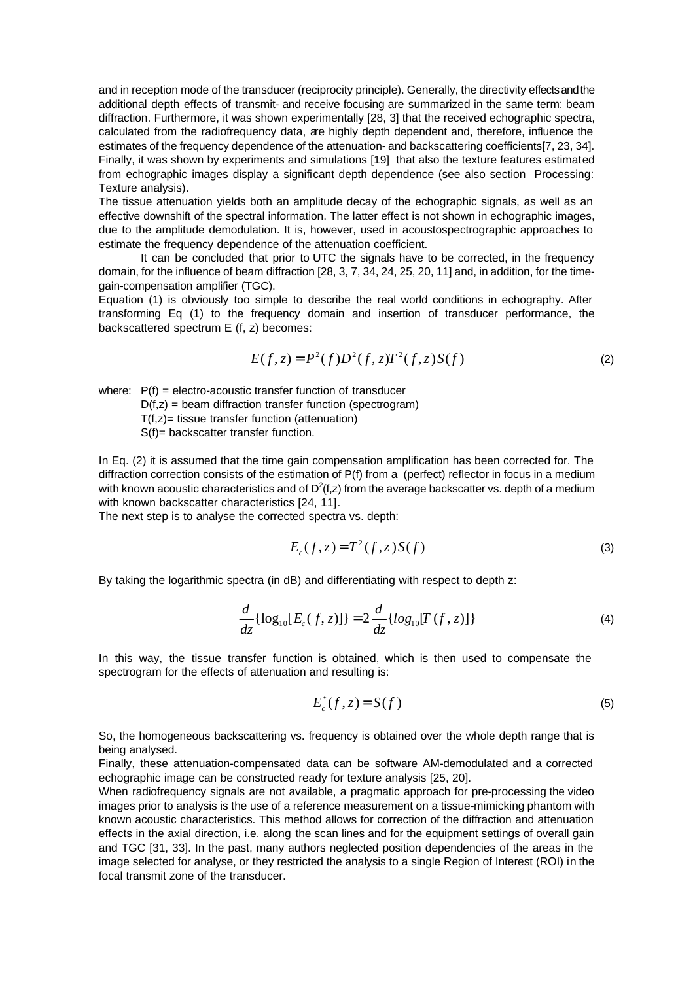and in reception mode of the transducer (reciprocity principle). Generally, the directivity effects and the additional depth effects of transmit- and receive focusing are summarized in the same term: beam diffraction. Furthermore, it was shown experimentally [28, 3] that the received echographic spectra, calculated from the radiofrequency data, are highly depth dependent and, therefore, influence the estimates of the frequency dependence of the attenuation- and backscattering coefficients[7, 23, 34]. Finally, it was shown by experiments and simulations [19] that also the texture features estimated from echographic images display a significant depth dependence (see also section Processing: Texture analysis).

The tissue attenuation yields both an amplitude decay of the echographic signals, as well as an effective downshift of the spectral information. The latter effect is not shown in echographic images, due to the amplitude demodulation. It is, however, used in acoustospectrographic approaches to estimate the frequency dependence of the attenuation coefficient.

It can be concluded that prior to UTC the signals have to be corrected, in the frequency domain, for the influence of beam diffraction [28, 3, 7, 34, 24, 25, 20, 11] and, in addition, for the timegain-compensation amplifier (TGC).

Equation (1) is obviously too simple to describe the real world conditions in echography. After transforming Eq (1) to the frequency domain and insertion of transducer performance, the backscattered spectrum E (f, z) becomes:

$$
E(f, z) = P2(f)D2(f, z)T2(f, z)S(f)
$$
 (2)

where:  $P(f) =$  electro-acoustic transfer function of transducer

 $D(f,z)$  = beam diffraction transfer function (spectrogram) T(f,z)= tissue transfer function (attenuation) S(f)= backscatter transfer function.

In Eq. (2) it is assumed that the time gain compensation amplification has been corrected for. The diffraction correction consists of the estimation of P(f) from a (perfect) reflector in focus in a medium with known acoustic characteristics and of  $D^2(f,z)$  from the average backscatter vs. depth of a medium with known backscatter characteristics [24, 11].

The next step is to analyse the corrected spectra vs. depth:

$$
E_c(f, z) = T^2(f, z)S(f)
$$
 (3)

By taking the logarithmic spectra (in dB) and differentiating with respect to depth z:

$$
\frac{d}{dz}\{\log_{10}[E_c(f,z)]\} = 2\frac{d}{dz}\{log_{10}[T(f,z)]\}
$$
\n(4)

In this way, the tissue transfer function is obtained, which is then used to compensate the spectrogram for the effects of attenuation and resulting is:

$$
E_c^*(f, z) = S(f) \tag{5}
$$

So, the homogeneous backscattering vs. frequency is obtained over the whole depth range that is being analysed.

Finally, these attenuation-compensated data can be software AM-demodulated and a corrected echographic image can be constructed ready for texture analysis [25, 20].

When radiofrequency signals are not available, a pragmatic approach for pre-processing the video images prior to analysis is the use of a reference measurement on a tissue-mimicking phantom with known acoustic characteristics. This method allows for correction of the diffraction and attenuation effects in the axial direction, i.e. along the scan lines and for the equipment settings of overall gain and TGC [31, 33]. In the past, many authors neglected position dependencies of the areas in the image selected for analyse, or they restricted the analysis to a single Region of Interest (ROI) in the focal transmit zone of the transducer.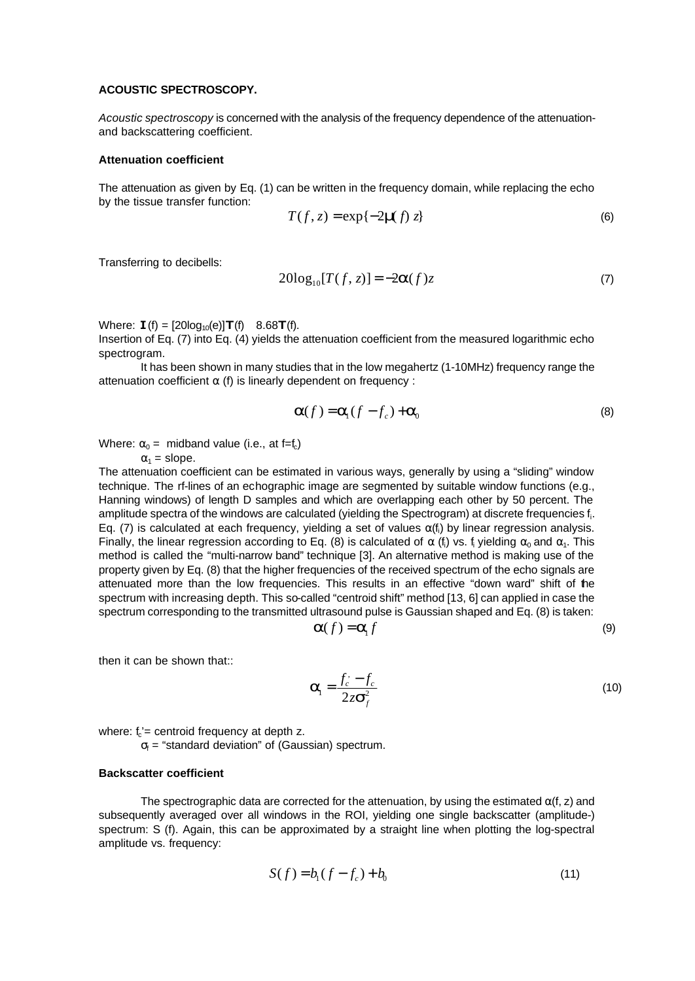### **ACOUSTIC SPECTROSCOPY.**

*Acoustic spectroscopy* is concerned with the analysis of the frequency dependence of the attenuationand backscattering coefficient.

## **Attenuation coefficient**

The attenuation as given by Eq. (1) can be written in the frequency domain, while replacing the echo by the tissue transfer function:

$$
T(f, z) = \exp\{-2\mathbf{n}(f) z\}
$$
 (6)

Transferring to decibells:

$$
20\log_{10}[T(f,z)] = -2\mathbf{a}(f)z\tag{7}
$$

Where:  $$ 

Insertion of Eq. (7) into Eq. (4) yields the attenuation coefficient from the measured logarithmic echo spectrogram.

It has been shown in many studies that in the low megahertz (1-10MHz) frequency range the attenuation coefficient  $\alpha$  (f) is linearly dependent on frequency :

$$
\mathbf{a}(f) = \mathbf{a}_1(f - f_c) + \mathbf{a}_0
$$
 (8)

Where:  $\alpha_0$  = midband value (i.e., at f=f<sub>c</sub>)

 $\alpha_1$  = slope.

The attenuation coefficient can be estimated in various ways, generally by using a "sliding" window technique. The rf-lines of an echographic image are segmented by suitable window functions (e.g., Hanning windows) of length D samples and which are overlapping each other by 50 percent. The amplitude spectra of the windows are calculated (yielding the Spectrogram) at discrete frequencies f<sup>i</sup> . Eq. (7) is calculated at each frequency, yielding a set of values  $\alpha(f)$  by linear regression analysis. Finally, the linear regression according to Eq. (8) is calculated of  $\alpha$  (f<sub>i</sub>) vs. f<sub>i</sub> yielding  $\alpha_0$  and  $\alpha_1$ . This method is called the "multi-narrow band" technique [3]. An alternative method is making use of the property given by Eq. (8) that the higher frequencies of the received spectrum of the echo signals are attenuated more than the low frequencies. This results in an effective "down ward" shift of the spectrum with increasing depth. This so-called "centroid shift" method [13, 6] can applied in case the spectrum corresponding to the transmitted ultrasound pulse is Gaussian shaped and Eq. (8) is taken:

$$
\mathbf{a}(f) = \mathbf{a}_1 f \tag{9}
$$

then it can be shown that::

$$
\mathbf{a}_{\mathbf{i}} = \frac{f_c - f_c}{2z\mathbf{s}_f^2} \tag{10}
$$

where:  $f_c$ '= centroid frequency at depth z.

 $\sigma_f$  = "standard deviation" of (Gaussian) spectrum.

## **Backscatter coefficient**

The spectrographic data are corrected for the attenuation, by using the estimated  $\alpha(f, z)$  and subsequently averaged over all windows in the ROI, yielding one single backscatter (amplitude-) spectrum: S (f). Again, this can be approximated by a straight line when plotting the log-spectral amplitude vs. frequency:

$$
S(f) = b_1(f - f_c) + b_0
$$
 (11)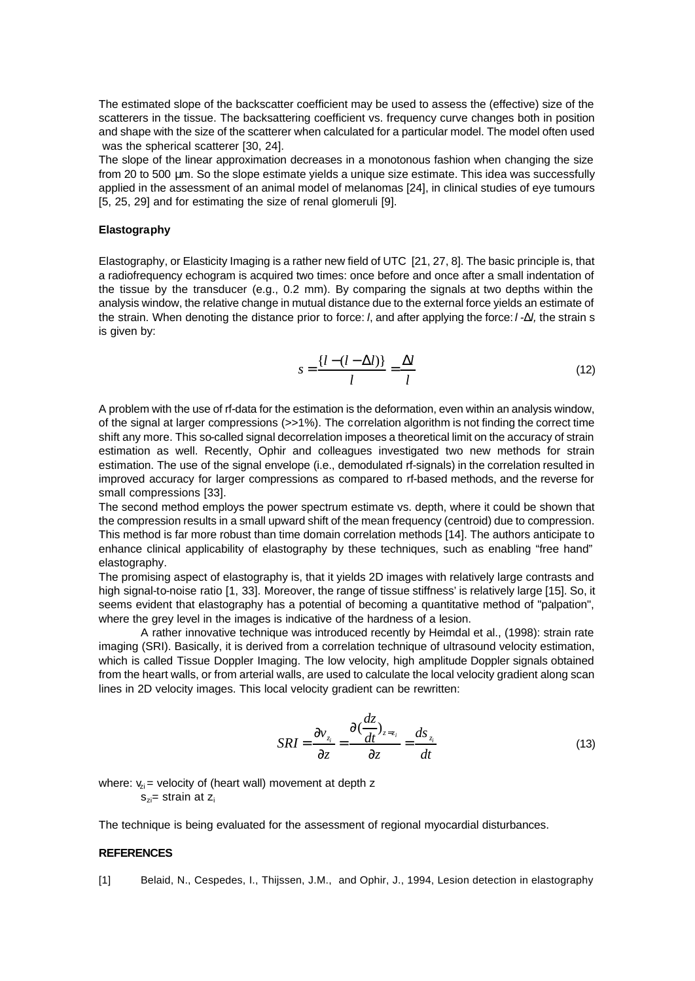The estimated slope of the backscatter coefficient may be used to assess the (effective) size of the scatterers in the tissue. The backsattering coefficient vs. frequency curve changes both in position and shape with the size of the scatterer when calculated for a particular model. The model often used was the spherical scatterer [30, 24].

The slope of the linear approximation decreases in a monotonous fashion when changing the size from 20 to 500 μm. So the slope estimate yields a unique size estimate. This idea was successfully applied in the assessment of an animal model of melanomas [24], in clinical studies of eye tumours [5, 25, 29] and for estimating the size of renal glomeruli [9].

## **Elastography**

Elastography, or Elasticity Imaging is a rather new field of UTC [21, 27, 8]. The basic principle is, that a radiofrequency echogram is acquired two times: once before and once after a small indentation of the tissue by the transducer (e.g., 0.2 mm). By comparing the signals at two depths within the analysis window, the relative change in mutual distance due to the external force yields an estimate of the strain. When denoting the distance prior to force: *l*, and after applying the force: *l -*Δ*l,* the strain s is given by:

$$
s = \frac{\{l - (l - \Delta l)\}}{l} = \frac{\Delta l}{l} \tag{12}
$$

A problem with the use of rf-data for the estimation is the deformation, even within an analysis window, of the signal at larger compressions (>>1%). The correlation algorithm is not finding the correct time shift any more. This so-called signal decorrelation imposes a theoretical limit on the accuracy of strain estimation as well. Recently, Ophir and colleagues investigated two new methods for strain estimation. The use of the signal envelope (i.e., demodulated rf-signals) in the correlation resulted in improved accuracy for larger compressions as compared to rf-based methods, and the reverse for small compressions [33].

The second method employs the power spectrum estimate vs. depth, where it could be shown that the compression results in a small upward shift of the mean frequency (centroid) due to compression. This method is far more robust than time domain correlation methods [14]. The authors anticipate to enhance clinical applicability of elastography by these techniques, such as enabling "free hand" elastography.

The promising aspect of elastography is, that it yields 2D images with relatively large contrasts and high signal-to-noise ratio [1, 33]. Moreover, the range of tissue stiffness' is relatively large [15]. So, it seems evident that elastography has a potential of becoming a quantitative method of "palpation", where the grey level in the images is indicative of the hardness of a lesion.

A rather innovative technique was introduced recently by Heimdal et al., (1998): strain rate imaging (SRI). Basically, it is derived from a correlation technique of ultrasound velocity estimation, which is called Tissue Doppler Imaging. The low velocity, high amplitude Doppler signals obtained from the heart walls, or from arterial walls, are used to calculate the local velocity gradient along scan lines in 2D velocity images. This local velocity gradient can be rewritten:

$$
SRI = \frac{\partial v_{z_i}}{\partial z} = \frac{\partial (\frac{dz}{dt})_{z=z_i}}{\partial z} = \frac{ds_{z_i}}{dt}
$$
(13)

where:  $v_{zi}$  = velocity of (heart wall) movement at depth z  $s_{zi}$ = strain at  $z_i$ 

The technique is being evaluated for the assessment of regional myocardial disturbances.

#### **REFERENCES**

[1] Belaid, N., Cespedes, I., Thijssen, J.M., and Ophir, J., 1994, Lesion detection in elastography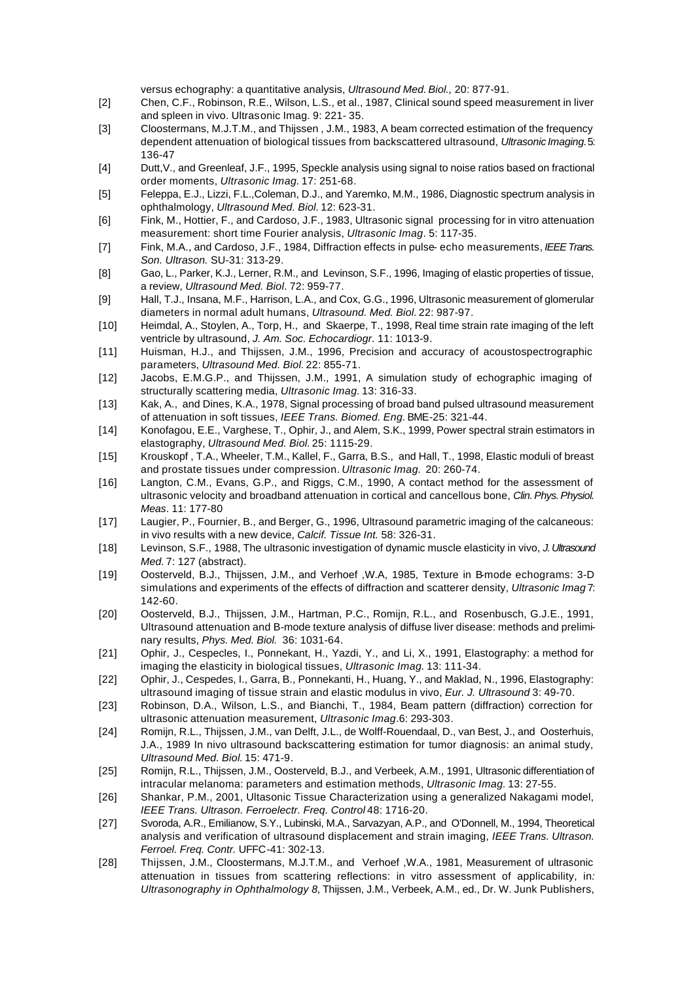versus echography: a quantitative analysis, *Ultrasound Med. Biol.,* 20: 877-91.

- [2] Chen, C.F., Robinson, R.E., Wilson, L.S., et al., 1987, Clinical sound speed measurement in liver and spleen in vivo. Ultrasonic Imag. 9: 221- 35.
- [3] Cloostermans, M.J.T.M., and Thijssen , J.M., 1983, A beam corrected estimation of the frequency dependent attenuation of biological tissues from backscattered ultrasound, *Ultrasonic Imaging.* 5: 136-47
- [4] Dutt,V., and Greenleaf, J.F., 1995, Speckle analysis using signal to noise ratios based on fractional order moments, *Ultrasonic Imag.* 17: 251-68.
- [5] Feleppa, E.J., Lizzi, F.L.,Coleman, D.J., and Yaremko, M.M., 1986, Diagnostic spectrum analysis in ophthalmology, *Ultrasound Med. Biol.* 12: 623-31.
- [6] Fink, M., Hottier, F., and Cardoso, J.F., 1983, Ultrasonic signal processing for in vitro attenuation measurement: short time Fourier analysis, *Ultrasonic Imag*. 5: 117-35.
- [7] Fink, M.A., and Cardoso, J.F., 1984, Diffraction effects in pulse- echo measurements*, IEEE Trans. Son. Ultrason.* SU-31: 313-29.
- [8] Gao, L., Parker, K.J., Lerner, R.M., and Levinson, S.F., 1996, Imaging of elastic properties of tissue, a review, *Ultrasound Med. Biol*. 72: 959-77.
- [9] Hall, T.J., Insana, M.F., Harrison, L.A., and Cox, G.G., 1996, Ultrasonic measurement of glomerular diameters in normal adult humans, *Ultrasound. Med. Biol.* 22: 987-97.
- [10] Heimdal, A., Stoylen, A., Torp, H., and Skaerpe, T., 1998, Real time strain rate imaging of the left ventricle by ultrasound, *J. Am. Soc. Echocardiogr.* 11: 1013-9.
- [11] Huisman, H.J., and Thijssen, J.M., 1996, Precision and accuracy of acoustospectrographic parameters, *Ultrasound Med. Biol.* 22: 855-71.
- [12] Jacobs, E.M.G.P., and Thijssen, J.M., 1991, A simulation study of echographic imaging of structurally scattering media, *Ultrasonic Imag.* 13: 316-33.
- [13] Kak, A., and Dines, K.A., 1978, Signal processing of broad band pulsed ultrasound measurement of attenuation in soft tissues, *IEEE Trans. Biomed. Eng.* BME-25: 321-44.
- [14] Konofagou, E.E., Varghese, T., Ophir, J., and Alem, S.K., 1999, Power spectral strain estimators in elastography, *Ultrasound Med. Biol.* 25: 1115-29.
- [15] Krouskopf , T.A., Wheeler, T.M., Kallel, F., Garra, B.S., and Hall, T., 1998, Elastic moduli of breast and prostate tissues under compression. *Ultrasonic Imag.* 20: 260-74.
- [16] Langton, C.M., Evans, G.P., and Riggs, C.M., 1990, A contact method for the assessment of ultrasonic velocity and broadband attenuation in cortical and cancellous bone, *Clin. Phys. Physiol. Meas*. 11: 177-80
- [17] Laugier, P., Fournier, B., and Berger, G., 1996, Ultrasound parametric imaging of the calcaneous: in vivo results with a new device, *Calcif. Tissue Int.* 58: 326-31.
- [18] Levinson, S.F., 1988, The ultrasonic investigation of dynamic muscle elasticity in vivo, *J. Ultrasound Med.* 7: 127 (abstract).
- [19] Oosterveld, B.J., Thijssen, J.M., and Verhoef ,W.A, 1985, Texture in B-mode echograms: 3-D simulations and experiments of the effects of diffraction and scatterer density, *Ultrasonic Imag* 7: 142-60.
- [20] Oosterveld, B.J., Thijssen, J.M., Hartman, P.C., Romijn, R.L., and Rosenbusch, G.J.E., 1991, Ultrasound attenuation and B-mode texture analysis of diffuse liver disease: methods and preliminary results, *Phys. Med. Biol.* 36: 1031-64.
- [21] Ophir, J., Cespecles, I., Ponnekant, H., Yazdi, Y., and Li, X., 1991, Elastography: a method for imaging the elasticity in biological tissues, *Ultrasonic Imag.* 13: 111-34.
- [22] Ophir, J., Cespedes, I., Garra, B., Ponnekanti, H., Huang, Y., and Maklad, N., 1996, Elastography: ultrasound imaging of tissue strain and elastic modulus in vivo, *Eur. J. Ultrasound* 3: 49-70.
- [23] Robinson, D.A., Wilson, L.S., and Bianchi, T., 1984, Beam pattern (diffraction) correction for ultrasonic attenuation measurement, *Ultrasonic Imag*.6: 293-303.
- [24] Romijn, R.L., Thijssen, J.M., van Delft, J.L., de Wolff-Rouendaal, D., van Best, J., and Oosterhuis, J.A., 1989 In nivo ultrasound backscattering estimation for tumor diagnosis: an animal study, *Ultrasound Med. Biol.* 15: 471-9.
- [25] Romijn, R.L., Thijssen, J.M., Oosterveld, B.J., and Verbeek, A.M., 1991, Ultrasonic differentiation of intracular melanoma: parameters and estimation methods, *Ultrasonic Imag.* 13: 27-55.
- [26] Shankar, P.M., 2001, Ultasonic Tissue Characterization using a generalized Nakagami model, *IEEE Trans. Ultrason. Ferroelectr. Freq. Control* 48: 1716-20.
- [27] Svoroda, A.R., Emilianow, S.Y., Lubinski, M.A., Sarvazyan, A.P., and O'Donnell, M., 1994, Theoretical analysis and verification of ultrasound displacement and strain imaging, *IEEE Trans. Ultrason. Ferroel. Freq. Contr.* UFFC-41: 302-13.
- [28] Thijssen, J.M., Cloostermans, M.J.T.M., and Verhoef ,W.A., 1981, Measurement of ultrasonic attenuation in tissues from scattering reflections: in vitro assessment of applicability, in*: Ultrasonography in Ophthalmology 8,* Thijssen, J.M., Verbeek, A.M., ed., Dr. W. Junk Publishers,